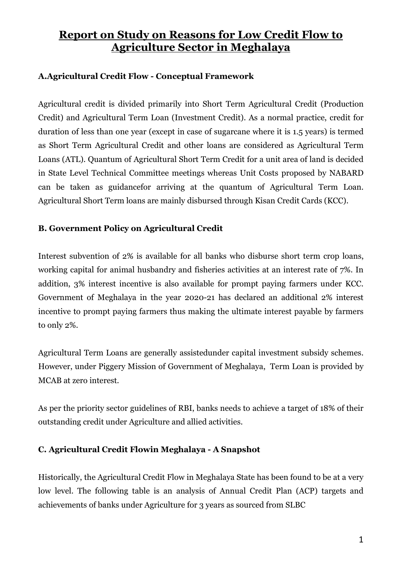# Report on Study on Reasons for Low Credit Flow to Agriculture Sector in Meghalaya

### A.Agricultural Credit Flow - Conceptual Framework

Agricultural credit is divided primarily into Short Term Agricultural Credit (Production Credit) and Agricultural Term Loan (Investment Credit). As a normal practice, credit for duration of less than one year (except in case of sugarcane where it is 1.5 years) is termed as Short Term Agricultural Credit and other loans are considered as Agricultural Term Loans (ATL). Quantum of Agricultural Short Term Credit for a unit area of land is decided in State Level Technical Committee meetings whereas Unit Costs proposed by NABARD can be taken as guidancefor arriving at the quantum of Agricultural Term Loan. Agricultural Short Term loans are mainly disbursed through Kisan Credit Cards (KCC).

### B. Government Policy on Agricultural Credit

Interest subvention of 2% is available for all banks who disburse short term crop loans, working capital for animal husbandry and fisheries activities at an interest rate of 7%. In addition, 3% interest incentive is also available for prompt paying farmers under KCC. Government of Meghalaya in the year 2020-21 has declared an additional 2% interest incentive to prompt paying farmers thus making the ultimate interest payable by farmers to only 2%.

Agricultural Term Loans are generally assistedunder capital investment subsidy schemes. However, under Piggery Mission of Government of Meghalaya, Term Loan is provided by MCAB at zero interest.

As per the priority sector guidelines of RBI, banks needs to achieve a target of 18% of their outstanding credit under Agriculture and allied activities.

### C. Agricultural Credit Flowin Meghalaya - A Snapshot

Historically, the Agricultural Credit Flow in Meghalaya State has been found to be at a very low level. The following table is an analysis of Annual Credit Plan (ACP) targets and achievements of banks under Agriculture for 3 years as sourced from SLBC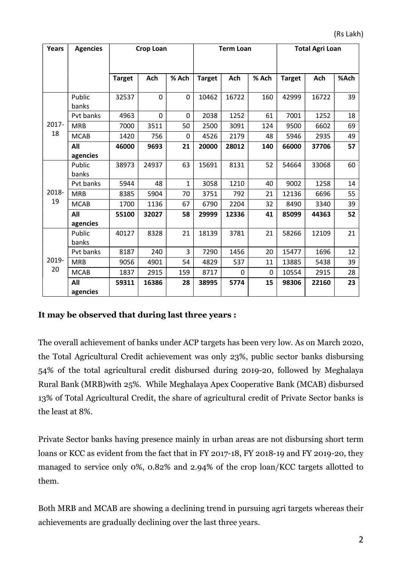| Years       | <b>Agencies</b> | <b>Crop Loan</b> |       |              | <b>Term Loan</b> |       |             | <b>Total Agri Loan</b> |       |      |
|-------------|-----------------|------------------|-------|--------------|------------------|-------|-------------|------------------------|-------|------|
|             |                 |                  |       |              |                  |       |             |                        |       |      |
|             |                 | <b>Target</b>    | Ach   | % Ach        | <b>Target</b>    | Ach   | % Ach       | <b>Target</b>          | Ach   | %Ach |
| 2017-<br>18 | Public<br>banks | 32537            | 0     | $\mathbf{0}$ | 10462            | 16722 | 160         | 42999                  | 16722 | 39   |
|             | Pvt banks       | 4963             | 0     | 0            | 2038             | 1252  | 61          | 7001                   | 1252  | 18   |
|             | <b>MRB</b>      | 7000             | 3511  | 50           | 2500             | 3091  | 124         | 9500                   | 6602  | 69   |
|             | <b>MCAB</b>     | 1420             | 756   | 0            | 4526             | 2179  | 48          | 5946                   | 2935  | 49   |
|             | All             | 46000            | 9693  | 21           | 20000            | 28012 | 140         | 66000                  | 37706 | 57   |
|             | agencies        |                  |       |              |                  |       |             |                        |       |      |
| 2018-<br>19 | Public<br>banks | 38973            | 24937 | 63           | 15691            | 8131  | 52          | 54664                  | 33068 | 60   |
|             | Pvt banks       | 5944             | 48    | $\mathbf{1}$ | 3058             | 1210  | 40          | 9002                   | 1258  | 14   |
|             | <b>MRB</b>      | 8385             | 5904  | 70           | 3751             | 792   | 21          | 12136                  | 6696  | 55   |
|             | <b>MCAB</b>     | 1700             | 1136  | 67           | 6790             | 2204  | 32          | 8490                   | 3340  | 39   |
|             | All             | 55100            | 32027 | 58           | 29999            | 12336 | 41          | 85099                  | 44363 | 52   |
|             | agencies        |                  |       |              |                  |       |             |                        |       |      |
| 2019-<br>20 | Public<br>banks | 40127            | 8328  | 21           | 18139            | 3781  | 21          | 58266                  | 12109 | 21   |
|             | Pvt banks       | 8187             | 240   | 3            | 7290             | 1456  | 20          | 15477                  | 1696  | 12   |
|             | <b>MRB</b>      | 9056             | 4901  | 54           | 4829             | 537   | 11          | 13885                  | 5438  | 39   |
|             | <b>MCAB</b>     | 1837             | 2915  | 159          | 8717             | 0     | $\mathbf 0$ | 10554                  | 2915  | 28   |
|             | All<br>agencies | 59311            | 16386 | 28           | 38995            | 5774  | 15          | 98306                  | 22160 | 23   |

#### It may be observed that during last three years :

The overall achievement of banks under ACP targets has been very low. As on March 2020, the Total Agricultural Credit achievement was only 23%, public sector banks disbursing 54% of the total agricultural credit disbursed during 2019-20, followed by Meghalaya Rural Bank (MRB)with 25%. While Meghalaya Apex Cooperative Bank (MCAB) disbursed 13% of Total Agricultural Credit, the share of agricultural credit of Private Sector banks is the least at 8%.

Private Sector banks having presence mainly in urban areas are not disbursing short term loans or KCC as evident from the fact that in FY 2017-18, FY 2018-19 and FY 2019-20, they managed to service only 0%, 0.82% and 2.94% of the crop loan/KCC targets allotted to them.

Both MRB and MCAB are showing a declining trend in pursuing agri targets whereas their achievements are gradually declining over the last three years.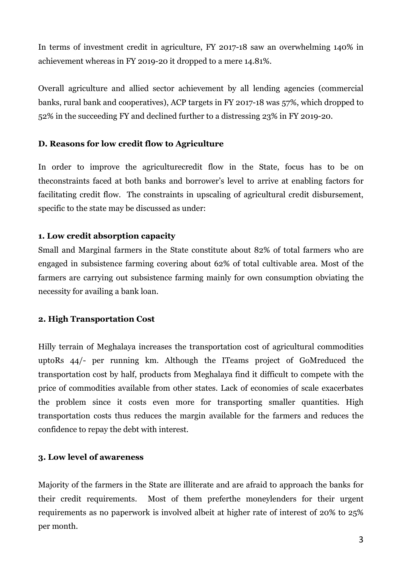In terms of investment credit in agriculture, FY 2017-18 saw an overwhelming 140% in achievement whereas in FY 2019-20 it dropped to a mere 14.81%.

Overall agriculture and allied sector achievement by all lending agencies (commercial banks, rural bank and cooperatives), ACP targets in FY 2017-18 was 57%, which dropped to 52% in the succeeding FY and declined further to a distressing 23% in FY 2019-20.

#### D. Reasons for low credit flow to Agriculture

In order to improve the agriculturecredit flow in the State, focus has to be on theconstraints faced at both banks and borrower's level to arrive at enabling factors for facilitating credit flow. The constraints in upscaling of agricultural credit disbursement, specific to the state may be discussed as under:

#### 1. Low credit absorption capacity

Small and Marginal farmers in the State constitute about 82% of total farmers who are engaged in subsistence farming covering about 62% of total cultivable area. Most of the farmers are carrying out subsistence farming mainly for own consumption obviating the necessity for availing a bank loan.

#### 2. High Transportation Cost

Hilly terrain of Meghalaya increases the transportation cost of agricultural commodities uptoRs 44/- per running km. Although the ITeams project of GoMreduced the transportation cost by half, products from Meghalaya find it difficult to compete with the price of commodities available from other states. Lack of economies of scale exacerbates the problem since it costs even more for transporting smaller quantities. High transportation costs thus reduces the margin available for the farmers and reduces the confidence to repay the debt with interest.

#### 3. Low level of awareness

Majority of the farmers in the State are illiterate and are afraid to approach the banks for their credit requirements. Most of them preferthe moneylenders for their urgent requirements as no paperwork is involved albeit at higher rate of interest of 20% to 25% per month.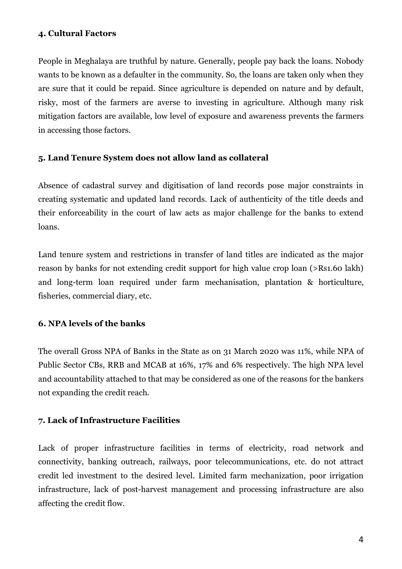#### 4. Cultural Factors

People in Meghalaya are truthful by nature. Generally, people pay back the loans. Nobody wants to be known as a defaulter in the community. So, the loans are taken only when they are sure that it could be repaid. Since agriculture is depended on nature and by default, risky, most of the farmers are averse to investing in agriculture. Although many risk mitigation factors are available, low level of exposure and awareness prevents the farmers in accessing those factors.

#### 5. Land Tenure System does not allow land as collateral

Absence of cadastral survey and digitisation of land records pose major constraints in creating systematic and updated land records. Lack of authenticity of the title deeds and their enforceability in the court of law acts as major challenge for the banks to extend loans.

Land tenure system and restrictions in transfer of land titles are indicated as the major reason by banks for not extending credit support for high value crop loan (>Rs1.60 lakh) and long-term loan required under farm mechanisation, plantation & horticulture, fisheries, commercial diary, etc.

### 6. NPA levels of the banks

The overall Gross NPA of Banks in the State as on 31 March 2020 was 11%, while NPA of Public Sector CBs, RRB and MCAB at 16%, 17% and 6% respectively. The high NPA level and accountability attached to that may be considered as one of the reasons for the bankers not expanding the credit reach.

#### 7. Lack of Infrastructure Facilities

Lack of proper infrastructure facilities in terms of electricity, road network and connectivity, banking outreach, railways, poor telecommunications, etc. do not attract credit led investment to the desired level. Limited farm mechanization, poor irrigation infrastructure, lack of post-harvest management and processing infrastructure are also affecting the credit flow.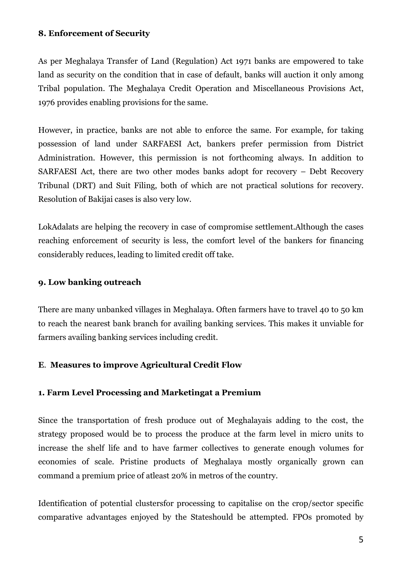#### 8. Enforcement of Security

As per Meghalaya Transfer of Land (Regulation) Act 1971 banks are empowered to take land as security on the condition that in case of default, banks will auction it only among Tribal population. The Meghalaya Credit Operation and Miscellaneous Provisions Act, 1976 provides enabling provisions for the same.

However, in practice, banks are not able to enforce the same. For example, for taking possession of land under SARFAESI Act, bankers prefer permission from District Administration. However, this permission is not forthcoming always. In addition to SARFAESI Act, there are two other modes banks adopt for recovery – Debt Recovery Tribunal (DRT) and Suit Filing, both of which are not practical solutions for recovery. Resolution of Bakijai cases is also very low.

LokAdalats are helping the recovery in case of compromise settlement.Although the cases reaching enforcement of security is less, the comfort level of the bankers for financing considerably reduces, leading to limited credit off take.

#### 9. Low banking outreach

There are many unbanked villages in Meghalaya. Often farmers have to travel 40 to 50 km to reach the nearest bank branch for availing banking services. This makes it unviable for farmers availing banking services including credit.

### E. Measures to improve Agricultural Credit Flow

#### 1. Farm Level Processing and Marketingat a Premium

Since the transportation of fresh produce out of Meghalayais adding to the cost, the strategy proposed would be to process the produce at the farm level in micro units to increase the shelf life and to have farmer collectives to generate enough volumes for economies of scale. Pristine products of Meghalaya mostly organically grown can command a premium price of atleast 20% in metros of the country.

Identification of potential clustersfor processing to capitalise on the crop/sector specific comparative advantages enjoyed by the Stateshould be attempted. FPOs promoted by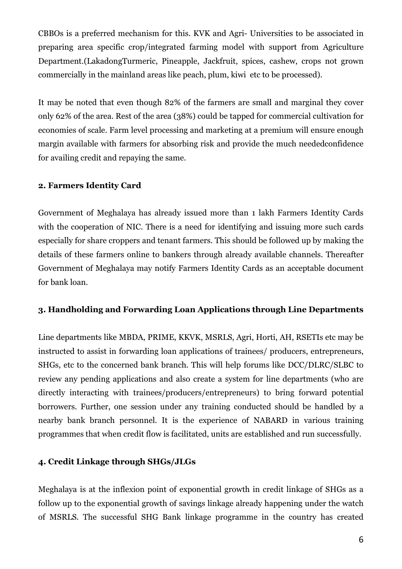CBBOs is a preferred mechanism for this. KVK and Agri- Universities to be associated in preparing area specific crop/integrated farming model with support from Agriculture Department.(LakadongTurmeric, Pineapple, Jackfruit, spices, cashew, crops not grown commercially in the mainland areas like peach, plum, kiwi etc to be processed).

It may be noted that even though 82% of the farmers are small and marginal they cover only 62% of the area. Rest of the area (38%) could be tapped for commercial cultivation for economies of scale. Farm level processing and marketing at a premium will ensure enough margin available with farmers for absorbing risk and provide the much neededconfidence for availing credit and repaying the same.

### 2. Farmers Identity Card

Government of Meghalaya has already issued more than 1 lakh Farmers Identity Cards with the cooperation of NIC. There is a need for identifying and issuing more such cards especially for share croppers and tenant farmers. This should be followed up by making the details of these farmers online to bankers through already available channels. Thereafter Government of Meghalaya may notify Farmers Identity Cards as an acceptable document for bank loan.

### 3. Handholding and Forwarding Loan Applications through Line Departments

Line departments like MBDA, PRIME, KKVK, MSRLS, Agri, Horti, AH, RSETIs etc may be instructed to assist in forwarding loan applications of trainees/ producers, entrepreneurs, SHGs, etc to the concerned bank branch. This will help forums like DCC/DLRC/SLBC to review any pending applications and also create a system for line departments (who are directly interacting with trainees/producers/entrepreneurs) to bring forward potential borrowers. Further, one session under any training conducted should be handled by a nearby bank branch personnel. It is the experience of NABARD in various training programmes that when credit flow is facilitated, units are established and run successfully.

#### 4. Credit Linkage through SHGs/JLGs

Meghalaya is at the inflexion point of exponential growth in credit linkage of SHGs as a follow up to the exponential growth of savings linkage already happening under the watch of MSRLS. The successful SHG Bank linkage programme in the country has created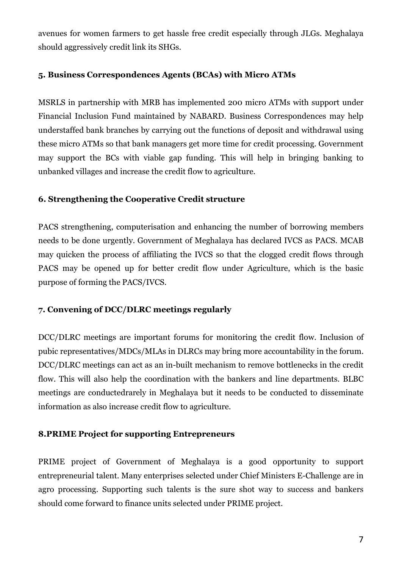avenues for women farmers to get hassle free credit especially through JLGs. Meghalaya should aggressively credit link its SHGs.

#### 5. Business Correspondences Agents (BCAs) with Micro ATMs

MSRLS in partnership with MRB has implemented 200 micro ATMs with support under Financial Inclusion Fund maintained by NABARD. Business Correspondences may help understaffed bank branches by carrying out the functions of deposit and withdrawal using these micro ATMs so that bank managers get more time for credit processing. Government may support the BCs with viable gap funding. This will help in bringing banking to unbanked villages and increase the credit flow to agriculture.

#### 6. Strengthening the Cooperative Credit structure

PACS strengthening, computerisation and enhancing the number of borrowing members needs to be done urgently. Government of Meghalaya has declared IVCS as PACS. MCAB may quicken the process of affiliating the IVCS so that the clogged credit flows through PACS may be opened up for better credit flow under Agriculture, which is the basic purpose of forming the PACS/IVCS.

### 7. Convening of DCC/DLRC meetings regularly

DCC/DLRC meetings are important forums for monitoring the credit flow. Inclusion of pubic representatives/MDCs/MLAs in DLRCs may bring more accountability in the forum. DCC/DLRC meetings can act as an in-built mechanism to remove bottlenecks in the credit flow. This will also help the coordination with the bankers and line departments. BLBC meetings are conductedrarely in Meghalaya but it needs to be conducted to disseminate information as also increase credit flow to agriculture.

#### 8.PRIME Project for supporting Entrepreneurs

PRIME project of Government of Meghalaya is a good opportunity to support entrepreneurial talent. Many enterprises selected under Chief Ministers E-Challenge are in agro processing. Supporting such talents is the sure shot way to success and bankers should come forward to finance units selected under PRIME project.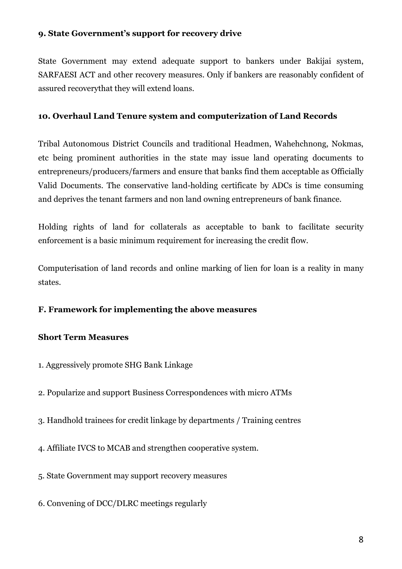#### 9. State Government's support for recovery drive

State Government may extend adequate support to bankers under Bakijai system, SARFAESI ACT and other recovery measures. Only if bankers are reasonably confident of assured recoverythat they will extend loans.

#### 10. Overhaul Land Tenure system and computerization of Land Records

Tribal Autonomous District Councils and traditional Headmen, Wahehchnong, Nokmas, etc being prominent authorities in the state may issue land operating documents to entrepreneurs/producers/farmers and ensure that banks find them acceptable as Officially Valid Documents. The conservative land-holding certificate by ADCs is time consuming and deprives the tenant farmers and non land owning entrepreneurs of bank finance.

Holding rights of land for collaterals as acceptable to bank to facilitate security enforcement is a basic minimum requirement for increasing the credit flow.

Computerisation of land records and online marking of lien for loan is a reality in many states.

### F. Framework for implementing the above measures

### Short Term Measures

- 1. Aggressively promote SHG Bank Linkage
- 2. Popularize and support Business Correspondences with micro ATMs
- 3. Handhold trainees for credit linkage by departments / Training centres
- 4. Affiliate IVCS to MCAB and strengthen cooperative system.
- 5. State Government may support recovery measures
- 6. Convening of DCC/DLRC meetings regularly